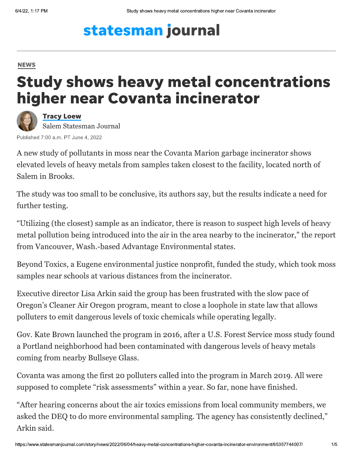# statesman journal

#### **NEWS**

## **Study shows heavy metal concentrations** higher near Covanta incinerator

**Tracy Loew** Salem Statesman Journal

Published 7:00 a.m. PT June 4, 2022

A new study of pollutants in moss near the Covanta Marion garbage incinerator shows elevated levels of heavy metals from samples taken closest to the facility, located north of Salem in Brooks.

The study was too small to be conclusive, its authors say, but the results indicate a need for further testing.

"Utilizing (the closest) sample as an indicator, there is reason to suspect high levels of heavy metal pollution being introduced into the air in the area nearby to the incinerator," the report from Vancouver, Wash.-based Advantage Environmental states.

Beyond Toxics, a Eugene environmental justice nonprofit, funded the study, which took moss samples near schools at various distances from the incinerator.

Executive director Lisa Arkin said the group has been frustrated with the slow pace of Oregon's Cleaner Air Oregon program, meant to close a loophole in state law that allows polluters to emit dangerous levels of toxic chemicals while operating legally.

Gov. Kate Brown launched the program in 2016, after a U.S. Forest Service moss study found a Portland neighborhood had been contaminated with dangerous levels of heavy metals coming from nearby Bullseye Glass.

Covanta was among the first 20 polluters called into the program in March 2019. All were supposed to complete "risk assessments" within a year. So far, none have finished.

"After hearing concerns about the air toxics emissions from local community members, we asked the DEQ to do more environmental sampling. The agency has consistently declined," Arkin said.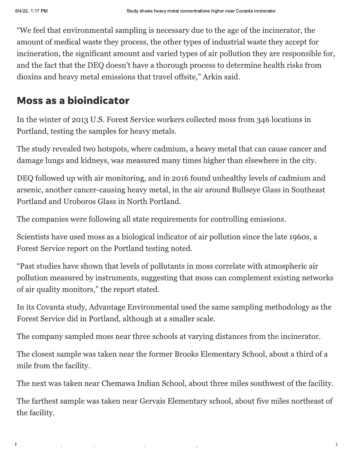$\mathsf{F}$ 

"We feel that environmental sampling is necessary due to the age of the incinerator, the amount of medical waste they process, the other types of industrial waste they accept for incineration, the significant amount and varied types of air pollution they are responsible for, and the fact that the DEQ doesn't have a thorough process to determine health risks from dioxins and heavy metal emissions that travel offsite," Arkin said.

#### **Moss as a bioindicator**

In the winter of 2013 U.S. Forest Service workers collected moss from 346 locations in Portland, testing the samples for heavy metals.

The study revealed two hotspots, where cadmium, a heavy metal that can cause cancer and damage lungs and kidneys, was measured many times higher than elsewhere in the city.

DEQ followed up with air monitoring, and in 2016 found unhealthy levels of cadmium and arsenic, another cancer-causing heavy metal, in the air around Bullseye Glass in Southeast Portland and Uroboros Glass in North Portland.

The companies were following all state requirements for controlling emissions.

Scientists have used moss as a biological indicator of air pollution since the late 1960s, a Forest Service report on the Portland testing noted.

"Past studies have shown that levels of pollutants in moss correlate with atmospheric air pollution measured by instruments, suggesting that moss can complement existing networks of air quality monitors," the report stated.

In its Covanta study, Advantage Environmental used the same sampling methodology as the Forest Service did in Portland, although at a smaller scale.

The company sampled moss near three schools at varying distances from the incinerator.

The closest sample was taken near the former Brooks Elementary School, about a third of a mile from the facility.

The next was taken near Chemawa Indian School, about three miles southwest of the facility.

The farthest sample was taken near Gervais Elementary school, about five miles northeast of the facility.

 $\overline{5}$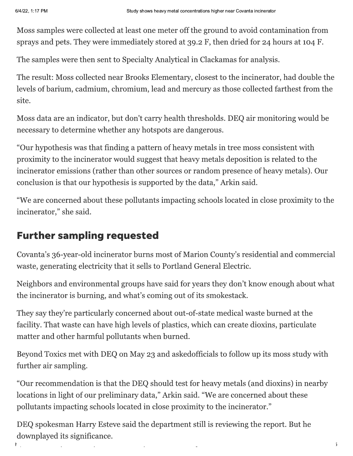Ł

Moss samples were collected at least one meter off the ground to avoid contamination from sprays and pets. They were immediately stored at 39.2 F, then dried for 24 hours at 104 F.

The samples were then sent to Specialty Analytical in Clackamas for analysis.

The result: Moss collected near Brooks Elementary, closest to the incinerator, had double the levels of barium, cadmium, chromium, lead and mercury as those collected farthest from the site.

Moss data are an indicator, but don't carry health thresholds. DEQ air monitoring would be necessary to determine whether any hotspots are dangerous.

"Our hypothesis was that finding a pattern of heavy metals in tree moss consistent with proximity to the incinerator would suggest that heavy metals deposition is related to the incinerator emissions (rather than other sources or random presence of heavy metals). Our conclusion is that our hypothesis is supported by the data," Arkin said.

"We are concerned about these pollutants impacting schools located in close proximity to the incinerator," she said.

### **Further sampling requested**

Covanta's 36-year-old incinerator burns most of Marion County's residential and commercial waste, generating electricity that it sells to Portland General Electric.

Neighbors and environmental groups have said for years they don't know enough about what the incinerator is burning, and what's coming out of its smokestack.

They say they're particularly concerned about out-of-state medical waste burned at the facility. That waste can have high levels of plastics, which can create dioxins, particulate matter and other harmful pollutants when burned.

Beyond Toxics met with DEQ on May 23 and askedofficials to follow up its moss study with further air sampling.

"Our recommendation is that the DEQ should test for heavy metals (and dioxins) in nearby locations in light of our preliminary data," Arkin said. "We are concerned about these pollutants impacting schools located in close proximity to the incinerator."

DEQ spokesman Harry Esteve said the department still is reviewing the report. But he downplayed its significance.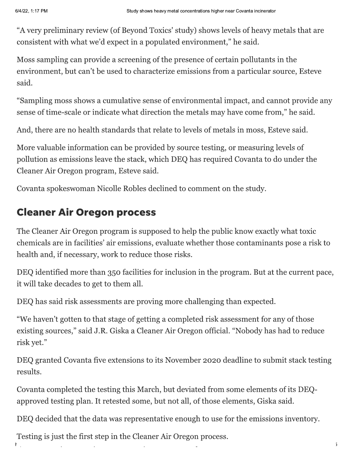"A very preliminary review (of Beyond Toxics' study) shows levels of heavy metals that are consistent with what we'd expect in a populated environment," he said.

Moss sampling can provide a screening of the presence of certain pollutants in the environment, but can't be used to characterize emissions from a particular source, Esteve said.

"Sampling moss shows a cumulative sense of environmental impact, and cannot provide any sense of time-scale or indicate what direction the metals may have come from," he said.

And, there are no health standards that relate to levels of metals in moss, Esteve said.

More valuable information can be provided by source testing, or measuring levels of pollution as emissions leave the stack, which DEQ has required Covanta to do under the Cleaner Air Oregon program, Esteve said.

Covanta spokeswoman Nicolle Robles declined to comment on the study.

#### **Cleaner Air Oregon process**

The Cleaner Air Oregon program is supposed to help the public know exactly what toxic chemicals are in facilities' air emissions, evaluate whether those contaminants pose a risk to health and, if necessary, work to reduce those risks.

DEQ identified more than 350 facilities for inclusion in the program. But at the current pace, it will take decades to get to them all.

DEQ has said risk assessments are proving more challenging than expected.

"We haven't gotten to that stage of getting a completed risk assessment for any of those existing sources," said J.R. Giska a Cleaner Air Oregon official. "Nobody has had to reduce risk yet."

DEQ granted Covanta five extensions to its November 2020 deadline to submit stack testing results.

Covanta completed the testing this March, but deviated from some elements of its DEQapproved testing plan. It retested some, but not all, of those elements, Giska said.

DEQ decided that the data was representative enough to use for the emissions inventory.

Testing is just the first step in the Cleaner Air Oregon process.